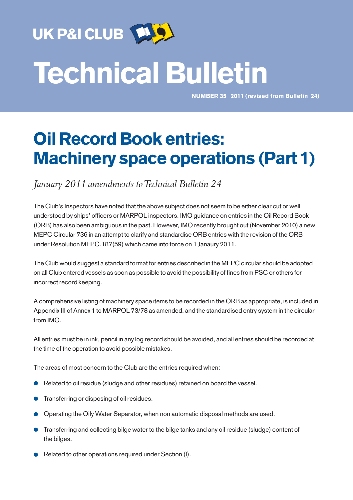

# Technical Bulletin

NUMBER 35 2011 (revised from Bulletin 24)

# Oil Record Book entries: Machinery space operations (Part 1)

*lanuary* 2011 amendments to Technical Bulletin 24

The Club's Inspectors have noted that the above subject does not seem to be either clear cut or well understood by ships' officers or MARPOL inspectors. IMO guidance on entries in the Oil Record Book (ORB) has also been ambiguous in the past. However, IMO recently brought out (November 2010) a new MEPC Circular 736 in an attempt to clarify and standardise ORB entries with the revision of the ORB under Resolution MEPC.187(59) which came into force on 1 Janaury 2011.

The Club would suggest a standard format for entries described in the MEPC circular should be adopted on all Club entered vessels as soon as possible to avoid the possibility of fines from PSC or others for incorrect record keeping.

A comprehensive listing of machinery space items to be recorded in the ORB as appropriate, is included in Appendix III of Annex 1 to MARPOL 73/78 as amended, and the standardised entry system in the circular from IMO.

All entries must be in ink, pencil in any log record should be avoided, and all entries should be recorded at the time of the operation to avoid possible mistakes.

The areas of most concern to the Club are the entries required when:

- Related to oil residue (sludge and other residues) retained on board the vessel.
- Transferring or disposing of oil residues.
- Operating the Oily Water Separator, when non automatic disposal methods are used.
- Transferring and collecting bilge water to the bilge tanks and any oil residue (sludge) content of the bilges.
- Related to other operations required under Section (I).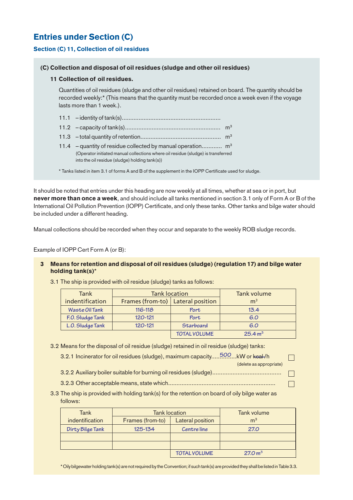# Entries under Section (C)

#### Section (C) 11, Collection of oil residues

#### (C) Collection and disposal of oil residues (sludge and other oil residues)

#### 11 Collection of oil residues.

Quantities of oil residues (sludge and other oil residues) retained on board. The quantity should be recorded weekly:\* (This means that the quantity must be recorded once a week even if the voyage lasts more than 1 week.).

| 11.4 - quantity of residue collected by manual operation $m3$<br>(Operator initiated manual collections where oil residue (sludge) is transferred<br>into the oil residue (sludge) holding tank(s)) |  |
|-----------------------------------------------------------------------------------------------------------------------------------------------------------------------------------------------------|--|
| * Tanks listed in item 3.1 of forms A and B of the supplement in the IOPP Certificate used for sludge.                                                                                              |  |

It should be noted that entries under this heading are now weekly at all times, whether at sea or in port, but never more than once a week, and should include all tanks mentioned in section 3.1 only of Form A or B of the International Oil Pollution Prevention (IOPP) Certificate, and only these tanks. Other tanks and bilge water should be included under a different heading.

Manual collections should be recorded when they occur and separate to the weekly ROB sludge records.

Example of IOPP Cert Form A (or B):

#### 3 Means for retention and disposal of oil residues (sludge) (regulation 17) and bilge water holding tank(s)\*

| Tank             | <b>Tank location</b>                | Tank volume         |                     |
|------------------|-------------------------------------|---------------------|---------------------|
| indentification  | Frames (from-to)   Lateral position |                     | m <sup>3</sup>      |
| Waste Oil Tank   | $116 - 118$                         | Port                | 13.4                |
| F.O. Sludge Tank | $120 - 121$                         | Port                | 6.O                 |
| L.O. Sludge Tank | $120 - 121$                         | Starboard           | 6.0                 |
|                  |                                     | <b>TOTAL VOLUME</b> | 25.4 m <sup>3</sup> |

3.1 The ship is provided with oil residue (sludge) tanks as follows:

3.2 Means for the disposal of oil residue (sludge) retained in oil residue (sludge) tanks:

| 3.2.1 Incinerator for oil residues (sludge), maximum capacity500kW or keal-/h | $\Box$ |
|-------------------------------------------------------------------------------|--------|
| (delete as appropriate)                                                       |        |
|                                                                               |        |

3.2.3 Other acceptable means, state which................................................................

 $\Box$ 

3.3 The ship is provided with holding tank(s) for the retention on board of oily bilge water as follows:

| Tank             | <b>Tank location</b> |                         | Tank volume         |
|------------------|----------------------|-------------------------|---------------------|
| indentification  | Frames (from-to)     | <b>Lateral position</b> | m <sup>3</sup>      |
| Dirty Bilge Tank | 125-134              | Centre line             | <b>27.0</b>         |
|                  |                      |                         |                     |
|                  |                      |                         |                     |
|                  |                      | <b>TOTAL VOLUME</b>     | 27.0 m <sup>3</sup> |

\* Oily bilgewater holding tank(s) are not required by the Convention; if such tank(s) are provided they shall be listed in Table 3.3.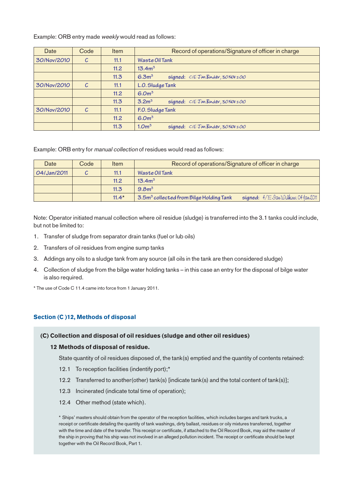Example: ORB entry made weekly would read as follows:

| Date        | Code | Item | Record of operations/Signature of officer in charge      |
|-------------|------|------|----------------------------------------------------------|
| 30/Nov/2010 | C    | 11.1 | Waste Oil Tank                                           |
|             |      | 11.2 | 13.4m <sup>3</sup>                                       |
|             |      | 11.3 | 6.3 <sup>3</sup><br>signed: C/E Jim Binder, 30 Nov 2010  |
| 30/Nov/2010 | C    | 11.1 | L.O. Sludge Tank                                         |
|             |      | 11.2 | 6.0 <sup>m3</sup>                                        |
|             |      | 11.3 | 3.2 <sup>5</sup><br>signed: C/E Jim Binder, 30 Nov 2010  |
| 30/Nov/2010 | C    | 11.1 | F.O. Sludge Tank                                         |
|             |      | 11.2 | 6.0 <sup>m3</sup>                                        |
|             |      | 11.3 | 1.0 <sup>m3</sup><br>signed: C/E Jim Binder, 30 NOV 2010 |

Example: ORB entry for manual collection of residues would read as follows:

| Date        | Code | Item    | Record of operations/Signature of officer in charge                                            |
|-------------|------|---------|------------------------------------------------------------------------------------------------|
| 04/Jan/2011 |      | 11.1    | Waste Oil Tank                                                                                 |
|             |      | 11.2    | 13.4m <sup>3</sup>                                                                             |
|             |      | 11.3    | 9.8 <sup>5</sup>                                                                               |
|             |      | $11.4*$ | $signal: 4/EQawWilkins.04$ $\{an2011\}$<br>3.5m <sup>3</sup> collected from Bilge Holding Tank |

Note: Operator initiated manual collection where oil residue (sludge) is transferred into the 3.1 tanks could include, but not be limited to:

- 1. Transfer of sludge from separator drain tanks (fuel or lub oils)
- 2. Transfers of oil residues from engine sump tanks
- 3. Addings any oils to a sludge tank from any source (all oils in the tank are then considered sludge)
- 4. Collection of sludge from the bilge water holding tanks in this case an entry for the disposal of bilge water is also required.

\* The use of Code C 11.4 came into force from 1 January 2011.

#### Section (C )12, Methods of disposal

#### (C) Collection and disposal of oil residues (sludge and other oil residues)

#### 12 Methods of disposal of residue.

State quantity of oil residues disposed of, the tank(s) emptied and the quantity of contents retained:

- 12.1 To reception facilities (indentify port);\*
- 12.2 Transferred to another(other) tank(s) [indicate tank(s) and the total content of tank(s)];
- 12.3 Incinerated (indicate total time of operation);
- 12.4 Other method (state which).

\* Ships' masters should obtain from the operator of the reception facilities, which includes barges and tank trucks, a receipt or certificate detailing the quantity of tank washings, dirty ballast, residues or oily mixtures transferred, together with the time and date of the transfer. This receipt or certificate, if attached to the Oil Record Book, may aid the master of the ship in proving that his ship was not involved in an alleged pollution incident. The receipt or certificate should be kept together with the Oil Record Book, Part 1.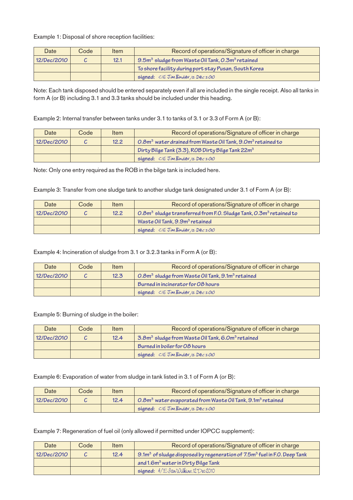Example 1: Disposal of shore reception facilities:

| Date        | Code | Item | Record of operations/Signature of officer in charge                      |
|-------------|------|------|--------------------------------------------------------------------------|
| 12/Dec/2010 |      | 12.1 | 9.5m <sup>3</sup> sludge from Waste Oil Tank, 0.3m <sup>3</sup> retained |
|             |      |      | To shore facility during port stay Pusan, South Korea                    |
|             |      |      | signed: C/E Jim Binder, 12 Dec 2010                                      |

Note: Each tank disposed should be entered separately even if all are included in the single receipt. Also all tanks in form A (or B) including 3.1 and 3.3 tanks should be included under this heading.

Example 2: Internal transfer between tanks under 3.1 to tanks of 3.1 or 3.3 of Form A (or B):

| Date        | Code | Item | Record of operations/Signature of officer in charge                                |
|-------------|------|------|------------------------------------------------------------------------------------|
| 12/Dec/2010 |      | 12.2 | 0.8m <sup>3</sup> water drained from Waste Oil Tank, 9.0m <sup>3</sup> retained to |
|             |      |      | Dirty Bilge Tank (3.3), ROB Dirty Bilge Tank 22m <sup>3</sup>                      |
|             |      |      | signal: C/E TimBinder, IzDec 2010                                                  |

Note: Only one entry required as the ROB in the bilge tank is included here.

Example 3: Transfer from one sludge tank to another sludge tank designated under 3.1 of Form A (or B):

| Date        | Code | Item | Record of operations/Signature of officer in charge                     |
|-------------|------|------|-------------------------------------------------------------------------|
| 12/Dec/2010 |      | 12.2 | 0.8 $m3$ sludge transferred from F.O. Sludge Tank, 0.3 $m3$ retained to |
|             |      |      | Waste Oil Tank, 9.9m <sup>3</sup> retained                              |
|             |      |      | signed: C/E Jim Binder, 12 Dec 2010                                     |

Example 4: Incineration of sludge from 3.1 or 3.2.3 tanks in Form A (or B):

| Date        | Code | Item | Record of operations/Signature of officer in charge  |
|-------------|------|------|------------------------------------------------------|
| 12/Dec/2010 |      | 12.3 | $O.8m3$ sludge from Waste Oil Tank, $9.1m3$ retained |
|             |      |      | Burned in incinerator for 08 hours                   |
|             |      |      | signed: C/E Jim Binder, 12 Dec 2010                  |

Example 5: Burning of sludge in the boiler:

| Date        | Code | Item | Record of operations/Signature of officer in charge                      |
|-------------|------|------|--------------------------------------------------------------------------|
| 12/Dec/2010 |      | 12.4 | 3.8m <sup>3</sup> sludge from Waste Oil Tank, 6.0m <sup>3</sup> retained |
|             |      |      | Burned in boiler for O8 hours                                            |
|             |      |      | signal: C/E TimBinder, IzDec 2010                                        |

Example 6: Evaporation of water from sludge in tank listed in 3.1 of Form A (or B):

| Date        | Codel | Item | Record of operations/Signature of officer in charge                                           |
|-------------|-------|------|-----------------------------------------------------------------------------------------------|
| 12/Dec/2010 |       | 12.4 | $\sim 0.8$ m <sup>3</sup> water evaporated from Waste Oil Tank, $9.1$ m <sup>3</sup> retained |
|             |       |      | signal: C/E TimBinder, IzDec 2010                                                             |

Example 7: Regeneration of fuel oil (only allowed if permitted under IOPCC supplement):

| Date        | Code | Item | Record of operations/Signature of officer in charge                            |
|-------------|------|------|--------------------------------------------------------------------------------|
| 12/Dec/2010 |      | 12.4 | 9.1 $m3$ of sludge disposed by regeneration of 7.5 $m3$ fuel in F.O. Deep Tank |
|             |      |      | and 1.6m <sup>3</sup> water in Dirty Bilge Tank                                |
|             |      |      | signed: 4/E JanWilkins, 12 Dec 2010                                            |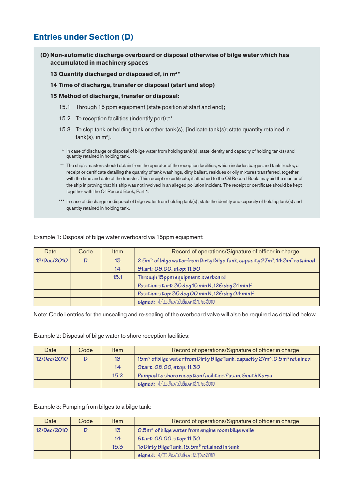# Entries under Section (D)

#### (D) Non-automatic discharge overboard or disposal otherwise of bilge water which has accumulated in machinery spaces

#### 13 Quantity discharged or disposed of, in m<sup>3\*</sup>

#### 14 Time of discharge, transfer or disposal (start and stop)

- 15 Method of discharge, transfer or disposal:
	- 15.1 Through 15 ppm equipment (state position at start and end);
	- 15.2 To reception facilities (indentify port);\*\*
	- 15.3 To slop tank or holding tank or other tank(s), [indicate tank(s); state quantity retained in tank(s), in m $^3$ ].
	- \* In case of discharge or disposal of bilge water from holding tank(s), state identity and capacity of holding tank(s) and quantity retained in holding tank.
	- \*\* The ship's masters should obtain from the operator of the reception facilities, which includes barges and tank trucks, a receipt or certificate detailing the quantity of tank washings, dirty ballast, residues or oily mixtures transferred, together with the time and date of the transfer. This receipt or certificate, if attached to the Oil Record Book, may aid the master of the ship in proving that his ship was not involved in an alleged pollution incident. The receipt or certificate should be kept together with the Oil Record Book, Part 1.
	- \*\*\* In case of discharge or disposal of bilge water from holding tank(s), state the identity and capacity of holding tank(s) and quantity retained in holding tank.

| Date        | Code | Item             | Record of operations/Signature of officer in charge                                                             |
|-------------|------|------------------|-----------------------------------------------------------------------------------------------------------------|
| 12/Dec/2010 |      | $13\phantom{.0}$ | 2.5m <sup>3</sup> of bilge water from Dirty Bilge Tank, capacity 27m <sup>3</sup> , 14.3m <sup>3</sup> retained |
|             |      | 14               | Start: 08.00, stop: 11.30                                                                                       |
|             |      | 15.1             | Through 15ppm equipment overboard                                                                               |
|             |      |                  | Position start: 35 deg 15 min N, 126 deg 31 min E                                                               |
|             |      |                  | Position stop: 35 deg 00 min N, 126 deg 04 min E                                                                |
|             |      |                  | signed: 4/E JanWilkins, 12 Dec 2010                                                                             |

Example 1: Disposal of bilge water overboard via 15ppm equipment:

Note: Code I entries for the unsealing and re-sealing of the overboard valve will also be required as detailed below.

Example 2: Disposal of bilge water to shore reception facilities:

| Date        | Code | Item             | Record of operations/Signature of officer in charge                                                           |
|-------------|------|------------------|---------------------------------------------------------------------------------------------------------------|
| 12/Dec/2010 |      | $13\overline{)}$ | 15m <sup>3</sup> of bilge water from Dirty Bilge Tank, capacity 27m <sup>3</sup> , 0.5m <sup>3</sup> retained |
|             |      | 14               | Start: 08.00, stop: 11.30                                                                                     |
|             |      | 15.2             | Pumped to shore reception facilities Pusan, South Korea                                                       |
|             |      |                  | signed: 4/E JanWilkins, 12 Dec 2010                                                                           |

Example 3: Pumping from bilges to a bilge tank:

| Date        | Code | Item | Record of operations/Signature of officer in charge              |
|-------------|------|------|------------------------------------------------------------------|
| 12/Dec/2010 |      | 13   | $0.5$ m <sup>3</sup> of bilge water from engine room bilge wells |
|             |      | 14   | Start: 08.00, stop: 11.30                                        |
|             |      | 15.3 | To Dirty Bilge Tank, 15.5m <sup>3</sup> retained in tank         |
|             |      |      | signed: 4/E JanWilkins, 12 Dec 2010                              |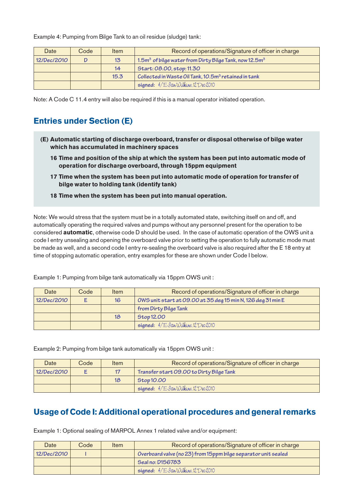Example 4: Pumping from Bilge Tank to an oil residue (sludge) tank:

| Date        | Code | Item | Record of operations/Signature of officer in charge                            |
|-------------|------|------|--------------------------------------------------------------------------------|
| 12/Dec/2010 |      | 13   | 1.5m <sup>3</sup> of bilge water from Dirty Bilge Tank, now 12.5m <sup>3</sup> |
|             |      | 14   | Start: 08.00, stop: 11.30                                                      |
|             |      | 15.3 | Collected in Waste Oil Tank, 10.5m <sup>3</sup> retained in tank               |
|             |      |      | signed: 4/E JanWilkins, 12 Dec 2010                                            |

Note: A Code C 11.4 entry will also be required if this is a manual operator initiated operation.

### Entries under Section (E)

- (E) Automatic starting of discharge overboard, transfer or disposal otherwise of bilge water which has accumulated in machinery spaces
	- 16 Time and position of the ship at which the system has been put into automatic mode of operation for discharge overboard, through 15ppm equipment
	- 17 Time when the system has been put into automatic mode of operation for transfer of bilge water to holding tank (identify tank)
	- 18 Time when the system has been put into manual operation.

Note: We would stress that the system must be in a totally automated state, switching itself on and off, and automatically operating the required valves and pumps without any personnel present for the operation to be considered **automatic**, otherwise code D should be used. In the case of automatic operation of the OWS unit a code I entry unsealing and opening the overboard valve prior to setting the operation to fully automatic mode must be made as well, and a second code I entry re-sealing the overboard valve is also required after the E 18 entry at time of stopping automatic operation, entry examples for these are shown under Code I below.

| Date        | Code | Item | Record of operations/Signature of officer in charge          |
|-------------|------|------|--------------------------------------------------------------|
| 12/Dec/2010 |      | 16   | OWS unit start at 09.00 at 35 deg 15 min N, 126 deg 31 min E |
|             |      |      | from Dirty Bilge Tank                                        |
|             |      | 18   | <b>Stop 12.00</b>                                            |
|             |      |      | signed: 4/E JavWilkins, 12 Dec 2010                          |

Example 1: Pumping from bilge tank automatically via 15ppm OWS unit :

Example 2: Pumping from bilge tank automatically via 15ppm OWS unit :

| Date        | Code | Item | Record of operations/Signature of officer in charge |
|-------------|------|------|-----------------------------------------------------|
| 12/Dec/2010 |      | 17   | Transfer start 09.00 to Dirty Bilge Tank            |
|             |      | 18   | Stop 10.00                                          |
|             |      |      | signed: 4/E Jan Wilkins, 12 Dec 2010                |

## Usage of Code I: Additional operational procedures and general remarks

Example 1: Optional sealing of MARPOL Annex 1 related valve and/or equipment:

| Date        | Code | <b>Item</b> | Record of operations/Signature of officer in charge             |
|-------------|------|-------------|-----------------------------------------------------------------|
| 12/Dec/2010 |      |             | Overboard valve (no 23) from 15 ppm bilge separator unit sealed |
|             |      |             | Seal no: D156783                                                |
|             |      |             | signed: 4/E JanWilkins, 12 Dec 2010                             |